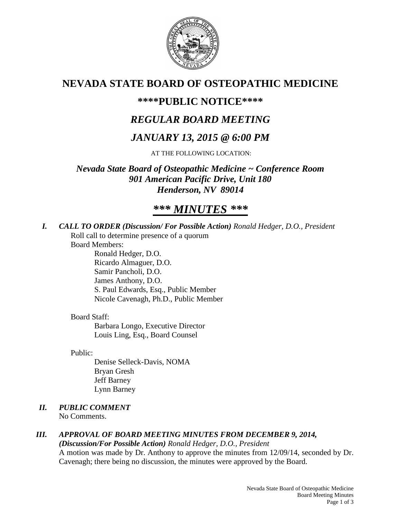

# **NEVADA STATE BOARD OF OSTEOPATHIC MEDICINE**

## **\*\*\*\*PUBLIC NOTICE\*\*\*\***

# *REGULAR BOARD MEETING*

# *JANUARY 13, 2015 @ 6:00 PM*

AT THE FOLLOWING LOCATION:

*Nevada State Board of Osteopathic Medicine ~ Conference Room 901 American Pacific Drive, Unit 180 Henderson, NV 89014*

# *\*\*\* MINUTES \*\*\**

*I. CALL TO ORDER (Discussion/ For Possible Action) Ronald Hedger, D.O., President* Roll call to determine presence of a quorum

Board Members:

Ronald Hedger, D.O. Ricardo Almaguer, D.O. Samir Pancholi, D.O. James Anthony, D.O. S. Paul Edwards, Esq., Public Member Nicole Cavenagh, Ph.D., Public Member

## Board Staff:

Barbara Longo, Executive Director Louis Ling, Esq., Board Counsel

Public:

Denise Selleck-Davis, NOMA Bryan Gresh Jeff Barney Lynn Barney

# *II. PUBLIC COMMENT*

No Comments.

#### *III. APPROVAL OF BOARD MEETING MINUTES FROM DECEMBER 9, 2014, (Discussion/For Possible Action) Ronald Hedger, D.O., President*

A motion was made by Dr. Anthony to approve the minutes from 12/09/14, seconded by Dr. Cavenagh; there being no discussion, the minutes were approved by the Board.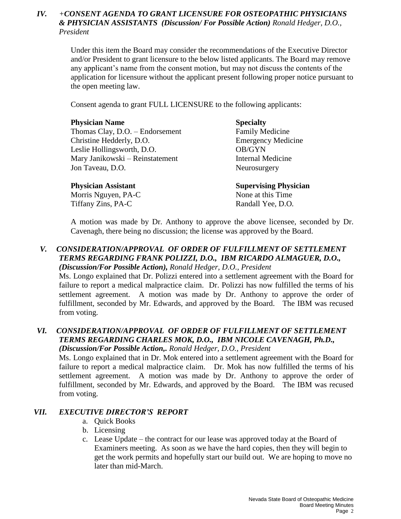## *IV. +CONSENT AGENDA TO GRANT LICENSURE FOR OSTEOPATHIC PHYSICIANS & PHYSICIAN ASSISTANTS (Discussion/ For Possible Action) Ronald Hedger, D.O., President*

Under this item the Board may consider the recommendations of the Executive Director and/or President to grant licensure to the below listed applicants. The Board may remove any applicant's name from the consent motion, but may not discuss the contents of the application for licensure without the applicant present following proper notice pursuant to the open meeting law.

Consent agenda to grant FULL LICENSURE to the following applicants:

#### **Physician Name Specialty**

Thomas Clay, D.O. – Endorsement Family Medicine Christine Hedderly, D.O. Emergency Medicine Leslie Hollingsworth, D.O. **OB/GYN** Mary Janikowski – Reinstatement Internal Medicine Jon Taveau, D.O. Neurosurgery

Morris Nguyen, PA-C None at this Time Tiffany Zins, PA-C Randall Yee, D.O.

**Physician Assistant Supervising Physician** 

A motion was made by Dr. Anthony to approve the above licensee, seconded by Dr. Cavenagh, there being no discussion; the license was approved by the Board.

## *V. CONSIDERATION/APPROVAL OF ORDER OF FULFILLMENT OF SETTLEMENT TERMS REGARDING FRANK POLIZZI, D.O., IBM RICARDO ALMAGUER, D.O., (Discussion/For Possible Action), Ronald Hedger, D.O., President*

Ms. Longo explained that Dr. Polizzi entered into a settlement agreement with the Board for failure to report a medical malpractice claim. Dr. Polizzi has now fulfilled the terms of his settlement agreement. A motion was made by Dr. Anthony to approve the order of fulfillment, seconded by Mr. Edwards, and approved by the Board. The IBM was recused from voting.

### *VI. CONSIDERATION/APPROVAL OF ORDER OF FULFILLMENT OF SETTLEMENT TERMS REGARDING CHARLES MOK, D.O., IBM NICOLE CAVENAGH, Ph.D., (Discussion/For Possible Action,. Ronald Hedger, D.O., President*

Ms. Longo explained that in Dr. Mok entered into a settlement agreement with the Board for failure to report a medical malpractice claim. Dr. Mok has now fulfilled the terms of his settlement agreement. A motion was made by Dr. Anthony to approve the order of fulfillment, seconded by Mr. Edwards, and approved by the Board. The IBM was recused from voting.

## *VII. EXECUTIVE DIRECTOR'S REPORT*

- a. Quick Books
- b. Licensing
- c. Lease Update the contract for our lease was approved today at the Board of Examiners meeting. As soon as we have the hard copies, then they will begin to get the work permits and hopefully start our build out. We are hoping to move no later than mid-March.